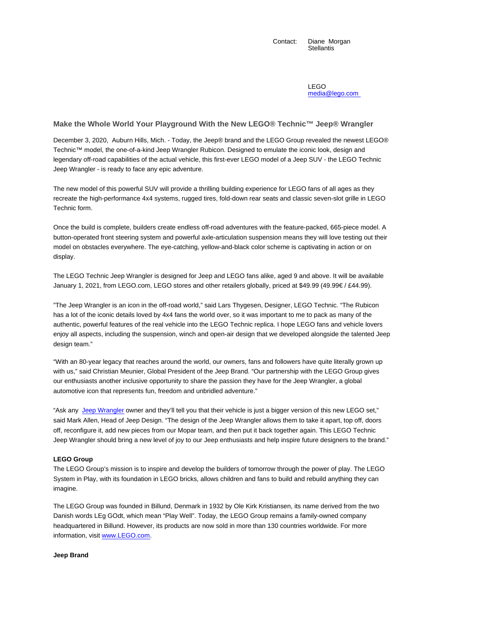Contact: Diane Morgan **Stellantis** 

> LEGO media@lego.com

## **Make the Whole World Your Playground With the New LEGO® Technic™ Jeep® Wrangler**

December 3, 2020, Auburn Hills, Mich. - Today, the Jeep® brand and the LEGO Group revealed the newest LEGO® Technic™ model, the one-of-a-kind Jeep Wrangler Rubicon. Designed to emulate the iconic look, design and legendary off-road capabilities of the actual vehicle, this first-ever LEGO model of a Jeep SUV - the LEGO Technic Jeep Wrangler - is ready to face any epic adventure.

The new model of this powerful SUV will provide a thrilling building experience for LEGO fans of all ages as they recreate the high-performance 4x4 systems, rugged tires, fold-down rear seats and classic seven-slot grille in LEGO Technic form.

Once the build is complete, builders create endless off-road adventures with the feature-packed, 665-piece model. A button-operated front steering system and powerful axle-articulation suspension means they will love testing out their model on obstacles everywhere. The eye-catching, yellow-and-black color scheme is captivating in action or on display.

The LEGO Technic Jeep Wrangler is designed for Jeep and LEGO fans alike, aged 9 and above. It will be available January 1, 2021, from LEGO.com, LEGO stores and other retailers globally, priced at \$49.99 (49.99€ / £44.99).

"The Jeep Wrangler is an icon in the off-road world," said Lars Thygesen, Designer, LEGO Technic. "The Rubicon has a lot of the iconic details loved by 4x4 fans the world over, so it was important to me to pack as many of the authentic, powerful features of the real vehicle into the LEGO Technic replica. I hope LEGO fans and vehicle lovers enjoy all aspects, including the suspension, winch and open-air design that we developed alongside the talented Jeep design team."

"With an 80-year legacy that reaches around the world, our owners, fans and followers have quite literally grown up with us," said Christian Meunier, Global President of the Jeep Brand. "Our partnership with the LEGO Group gives our enthusiasts another inclusive opportunity to share the passion they have for the Jeep Wrangler, a global automotive icon that represents fun, freedom and unbridled adventure."

"Ask any Jeep Wrangler owner and they'll tell you that their vehicle is just a bigger version of this new LEGO set," said Mark Allen, Head of Jeep Design. "The design of the Jeep Wrangler allows them to take it apart, top off, doors off, reconfigure it, add new pieces from our Mopar team, and then put it back together again. This LEGO Technic Jeep Wrangler should bring a new level of joy to our Jeep enthusiasts and help inspire future designers to the brand."

## **LEGO Group**

The LEGO Group's mission is to inspire and develop the builders of tomorrow through the power of play. The LEGO System in Play, with its foundation in LEGO bricks, allows children and fans to build and rebuild anything they can imagine.

The LEGO Group was founded in Billund, Denmark in 1932 by Ole Kirk Kristiansen, its name derived from the two Danish words LEg GOdt, which mean "Play Well". Today, the LEGO Group remains a family-owned company headquartered in Billund. However, its products are now sold in more than 130 countries worldwide. For more information, visit www.LEGO.com.

**Jeep Brand**